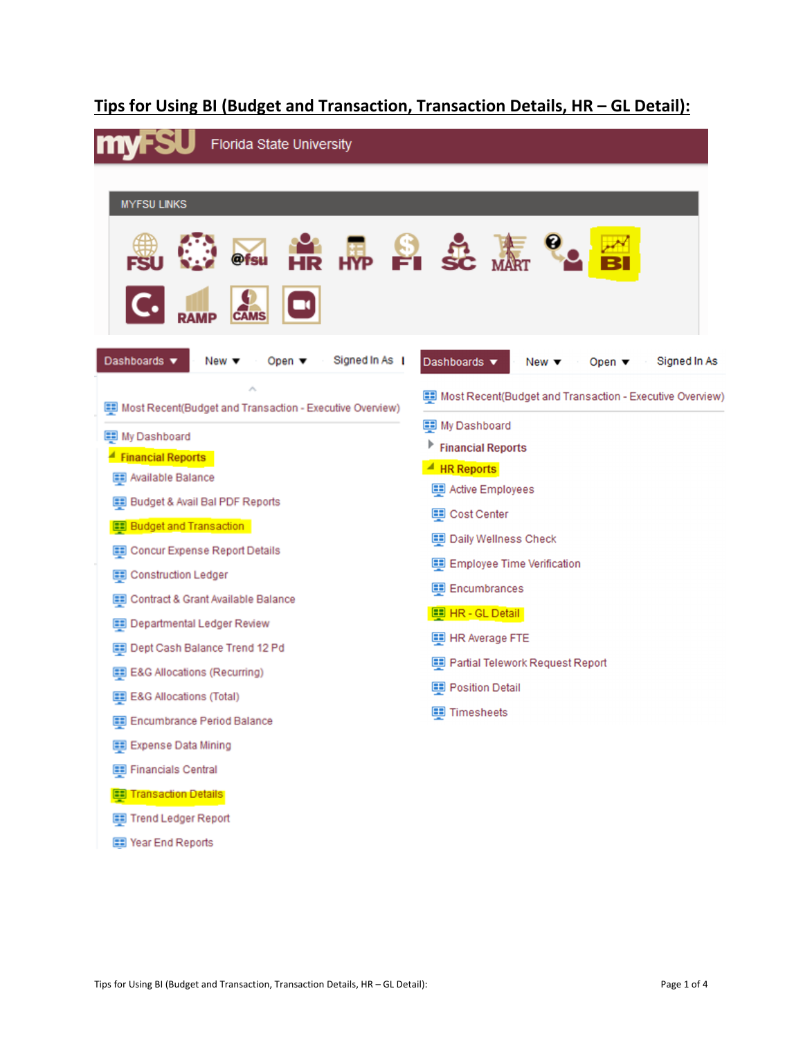| Florida State University                                                                  |                                                                                                          |
|-------------------------------------------------------------------------------------------|----------------------------------------------------------------------------------------------------------|
| <b>MYFSU LINKS</b><br>@fsu                                                                |                                                                                                          |
| $\blacksquare$<br>CAMS<br><b>RAMP</b>                                                     |                                                                                                          |
| Dashboards $\blacktriangledown$<br>Signed In As  <br>$New -$<br>Open $\blacktriangledown$ | Dashboards $\blacktriangledown$<br>Signed In As<br>Open $\blacktriangledown$<br>New $\blacktriangledown$ |
| Most Recent(Budget and Transaction - Executive Overview)                                  | Most Recent(Budget and Transaction - Executive Overview)                                                 |
| 图 My Dashboard                                                                            | My Dashboard                                                                                             |
| <b>Financial Reports</b>                                                                  | <b>Financial Reports</b>                                                                                 |
| Available Balance                                                                         | $\triangleq$ HR Reports                                                                                  |
| <b>Budget &amp; Avail Bal PDF Reports</b>                                                 | Active Employees                                                                                         |
| <b>Budget and Transaction</b>                                                             | Cost Center                                                                                              |
| Concur Expense Report Details                                                             | Daily Wellness Check                                                                                     |
| Construction Ledger                                                                       | E Employee Time Verification                                                                             |
| Contract & Grant Available Balance                                                        | Encumbrances                                                                                             |
| Departmental Ledger Review                                                                | <b>ED</b> HR - GL Detail                                                                                 |
| Dept Cash Balance Trend 12 Pd                                                             | <b>ED</b> HR Average FTE                                                                                 |
| EE E&G Allocations (Recurring)                                                            | Partial Telework Request Report                                                                          |
| EB E&G Allocations (Total)                                                                | <b>ED</b> Position Detail                                                                                |
| Em Encumbrance Period Balance                                                             | Timesheets                                                                                               |
| ED Expense Data Mining                                                                    |                                                                                                          |
| Financials Central                                                                        |                                                                                                          |
| <b>ED</b> Transaction Details                                                             |                                                                                                          |
| Trend Ledger Report                                                                       |                                                                                                          |
| TE Year End Reports                                                                       |                                                                                                          |

# **Tips for Using BI (Budget and Transaction, Transaction Details, HR – GL Detail):**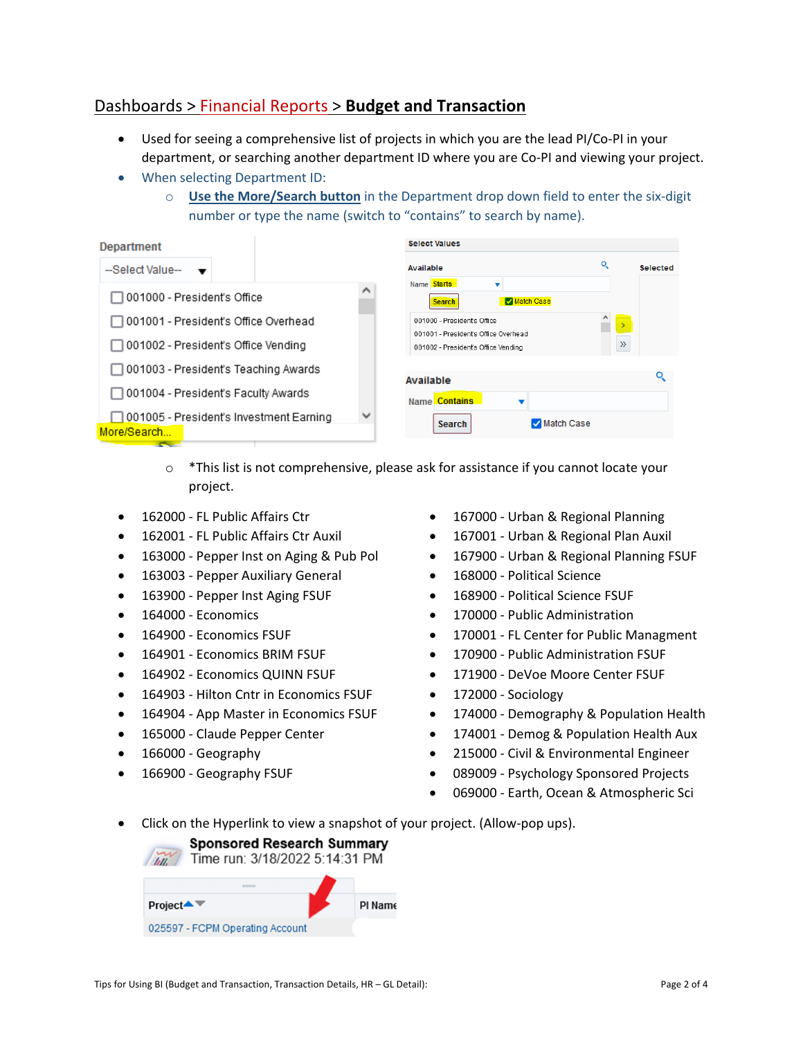## Dashboards > Financial Reports > **Budget and Transaction**

- Used for seeing a comprehensive list of projects in which you are the lead PI/Co-PI in your department, or searching another department ID where you are Co‐PI and viewing your project.
- When selecting Department ID:
	- o **Use the More/Search button** in the Department drop down field to enter the six‐digit number or type the name (switch to "contains" to search by name).

| <b>Department</b>                                      |   | <b>Select Values</b>                                                |                              |                 |
|--------------------------------------------------------|---|---------------------------------------------------------------------|------------------------------|-----------------|
| -Select Value-                                         |   | Available                                                           | ्                            | <b>Selected</b> |
| 001000 - President's Office                            | Α | Name Starts<br>▼<br>Match Case<br><b>Search</b>                     |                              |                 |
| 001001 - President's Office Overhead                   |   | 001000 - President's Office<br>001001 - President's Office Overhead |                              |                 |
| 001002 - President's Office Vending                    |   | 001002 - President's Office Vending                                 | $\left\langle \right\rangle$ |                 |
| 001003 - President's Teaching Awards                   |   | <b>Available</b>                                                    |                              | Q               |
| 001004 - President's Faculty Awards                    |   | Name Contains<br>▼                                                  |                              |                 |
| 001005 - President's Investment Earning<br>More/Search | v | Match Case<br><b>Search</b>                                         |                              |                 |
|                                                        |   |                                                                     |                              |                 |

- $\circ$  \*This list is not comprehensive, please ask for assistance if you cannot locate your project.
- 162000 FL Public Affairs Ctr
- 162001 ‐ FL Public Affairs Ctr Auxil
- 163000 Pepper Inst on Aging & Pub Pol
- 163003 Pepper Auxiliary General
- 163900 Pepper Inst Aging FSUF
- 164000 Economics
- 164900 Economics FSUF
- 164901 Economics BRIM FSUF
- 164902 Economics QUINN FSUF
- 164903 Hilton Cntr in Economics FSUF
- 164904 App Master in Economics FSUF
- 165000 Claude Pepper Center
- 166000 Geography
- 166900 Geography FSUF
- 167000 Urban & Regional Planning
- 167001 Urban & Regional Plan Auxil
- 167900 Urban & Regional Planning FSUF
- 168000 ‐ Political Science
- 168900 ‐ Political Science FSUF
- 170000 ‐ Public Administration
- 170001 FL Center for Public Managment
- 170900 Public Administration FSUF
- 171900 DeVoe Moore Center FSUF
- 172000 Sociology
- 174000 Demography & Population Health
- 174001 Demog & Population Health Aux
- 215000 Civil & Environmental Engineer
- 089009 ‐ Psychology Sponsored Projects
- 069000 Earth, Ocean & Atmospheric Sci
- Click on the Hyperlink to view a snapshot of your project. (Allow-pop ups).

**Sponsored Research Summary** Mullet Time run: 3/18/2022 5:14:31 PM

| <b>BERREER</b>                  |         |
|---------------------------------|---------|
| Project $\blacktriangle$        | PI Name |
| 025597 - FCPM Operating Account |         |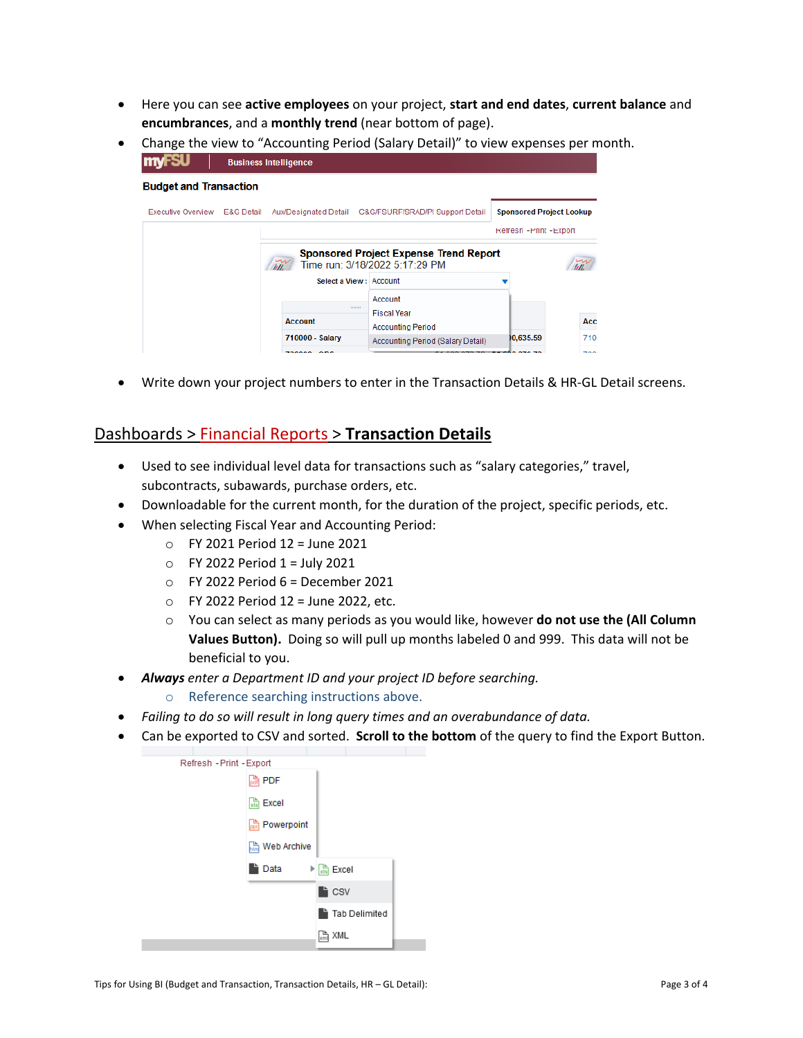- Here you can see **active employees** on your project, **start and end dates**, **current balance** and **encumbrances**, and a **monthly trend** (near bottom of page).
- Change the view to "Accounting Period (Salary Detail)" to view expenses per month.

|                               |            | <b>Business Intelligence</b> |                                                                                 |                                                                                                                                                 |      |
|-------------------------------|------------|------------------------------|---------------------------------------------------------------------------------|-------------------------------------------------------------------------------------------------------------------------------------------------|------|
| <b>Budget and Transaction</b> |            |                              |                                                                                 |                                                                                                                                                 |      |
| <b>Executive Overview</b>     | E&G Detail |                              | Aux/Designated Detail C&G/FSURF/SRAD/PI Support Detail                          |                                                                                                                                                 |      |
|                               |            |                              |                                                                                 |                                                                                                                                                 |      |
|                               |            | $\tilde{u}$                  | <b>Sponsored Project Expense Trend Report</b><br>Time run: 3/18/2022 5:17:29 PM |                                                                                                                                                 |      |
|                               |            | Select a View: Account       |                                                                                 |                                                                                                                                                 |      |
|                               |            | --------                     | Account                                                                         |                                                                                                                                                 |      |
|                               |            | <b>Account</b>               | <b>Fiscal Year</b>                                                              |                                                                                                                                                 | Acc  |
|                               |            | 710000 - Salary              | <b>Accounting Period</b>                                                        | 10,635.59                                                                                                                                       | 7100 |
|                               |            | <b>ZOOOOO ODC</b>            |                                                                                 | <b>Sponsored Project Lookup</b><br><b>Refresh - Print - Export</b><br>Accounting Period (Salary Detail)<br><b>64.000.070.70 - 64.000.070.70</b> | 7001 |

● Write down your project numbers to enter in the Transaction Details & HR-GL Detail screens.

### Dashboards > Financial Reports > **Transaction Details**

- Used to see individual level data for transactions such as "salary categories," travel, subcontracts, subawards, purchase orders, etc.
- Downloadable for the current month, for the duration of the project, specific periods, etc.
- When selecting Fiscal Year and Accounting Period:
	- $\circ$  FY 2021 Period 12 = June 2021
	- $\circ$  FY 2022 Period 1 = July 2021
	- $\circ$  FY 2022 Period 6 = December 2021
	- $\circ$  FY 2022 Period 12 = June 2022, etc.
	- o You can select as many periods as you would like, however **do not use the (All Column Values Button).** Doing so will pull up months labeled 0 and 999. This data will not be beneficial to you.
- *Always enter a Department ID and your project ID before searching.* 
	- o Reference searching instructions above.
- *Failing to do so will result in long query times and an overabundance of data.*
- Can be exported to CSV and sorted. **Scroll to the bottom** of the query to find the Export Button.